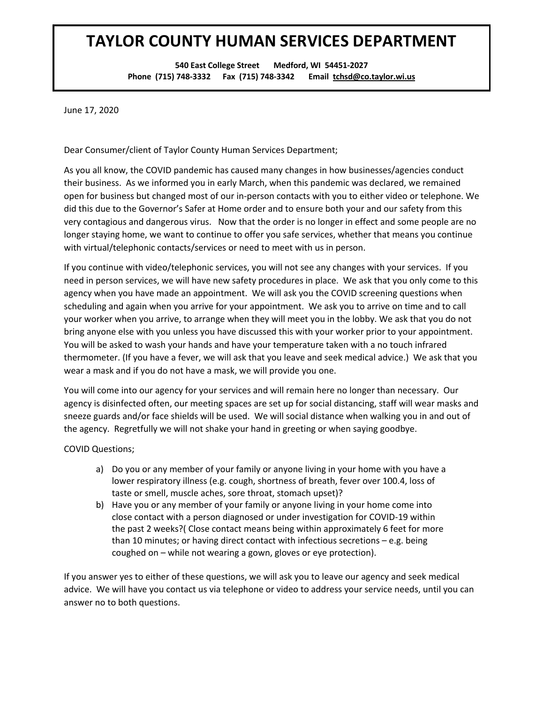## **TAYLOR COUNTY HUMAN SERVICES DEPARTMENT**

**540 East College Street Medford, WI 54451-2027 Phone (715) 748-3332 Fax (715) 748-3342 Email tchsd@co.taylor.wi.us**

June 17, 2020

Dear Consumer/client of Taylor County Human Services Department;

As you all know, the COVID pandemic has caused many changes in how businesses/agencies conduct their business. As we informed you in early March, when this pandemic was declared, we remained open for business but changed most of our in-person contacts with you to either video or telephone. We did this due to the Governor's Safer at Home order and to ensure both your and our safety from this very contagious and dangerous virus. Now that the order is no longer in effect and some people are no longer staying home, we want to continue to offer you safe services, whether that means you continue with virtual/telephonic contacts/services or need to meet with us in person.

If you continue with video/telephonic services, you will not see any changes with your services. If you need in person services, we will have new safety procedures in place. We ask that you only come to this agency when you have made an appointment. We will ask you the COVID screening questions when scheduling and again when you arrive for your appointment. We ask you to arrive on time and to call your worker when you arrive, to arrange when they will meet you in the lobby. We ask that you do not bring anyone else with you unless you have discussed this with your worker prior to your appointment. You will be asked to wash your hands and have your temperature taken with a no touch infrared thermometer. (If you have a fever, we will ask that you leave and seek medical advice.) We ask that you wear a mask and if you do not have a mask, we will provide you one.

You will come into our agency for your services and will remain here no longer than necessary. Our agency is disinfected often, our meeting spaces are set up for social distancing, staff will wear masks and sneeze guards and/or face shields will be used. We will social distance when walking you in and out of the agency. Regretfully we will not shake your hand in greeting or when saying goodbye.

COVID Questions;

- a) Do you or any member of your family or anyone living in your home with you have a lower respiratory illness (e.g. cough, shortness of breath, fever over 100.4, loss of taste or smell, muscle aches, sore throat, stomach upset)?
- b) Have you or any member of your family or anyone living in your home come into close contact with a person diagnosed or under investigation for COVID-19 within the past 2 weeks?( Close contact means being within approximately 6 feet for more than 10 minutes; or having direct contact with infectious secretions – e.g. being coughed on – while not wearing a gown, gloves or eye protection).

If you answer yes to either of these questions, we will ask you to leave our agency and seek medical advice. We will have you contact us via telephone or video to address your service needs, until you can answer no to both questions.